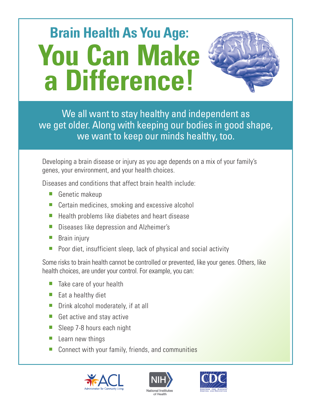# **Brain Health As You Age: You Can Make a Difference!**



We all want to stay healthy and independent as we get older. Along with keeping our bodies in good shape, we want to keep our minds healthy, too.

Developing a brain disease or injury as you age depends on a mix of your family's genes, your environment, and your health choices.

Diseases and conditions that affect brain health include:

- **Genetic makeup**
- Certain medicines, smoking and excessive alcohol
- Health problems like diabetes and heart disease  $\mathcal{L}_{\mathcal{A}}$
- Diseases like depression and Alzheimer's  $\overline{\phantom{a}}$
- Brain injury  $\Box$
- Poor diet, insufficient sleep, lack of physical and social activity

Some risks to brain health cannot be controlled or prevented, like your genes. Others, like health choices, are under your control. For example, you can:

- $\blacksquare$  Take care of your health
- $\blacksquare$  Eat a healthy diet
- $\blacksquare$  Drink alcohol moderately, if at all
- Get active and stay active
- Sleep 7-8 hours each night
- $\blacksquare$  Learn new things
- Connect with your family, friends, and communities